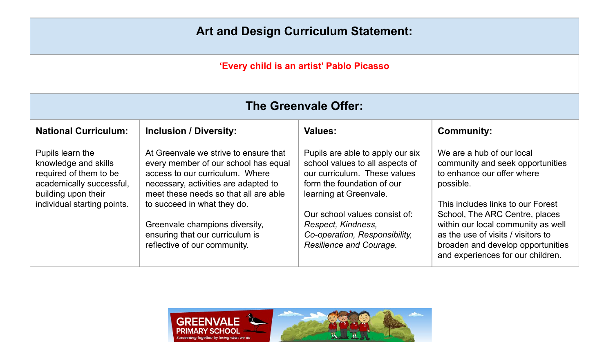## **Art and Design Curriculum Statement:**

## **'Every child is an artist' Pablo Picasso**

| <b>The Greenvale Offer:</b>                                                                                                                          |                                                                                                                                                                                                                                                                                                                                       |                                                                                                                                                                                                                                                                                |                                                                                                                                                                                                                                                                                                                                       |  |
|------------------------------------------------------------------------------------------------------------------------------------------------------|---------------------------------------------------------------------------------------------------------------------------------------------------------------------------------------------------------------------------------------------------------------------------------------------------------------------------------------|--------------------------------------------------------------------------------------------------------------------------------------------------------------------------------------------------------------------------------------------------------------------------------|---------------------------------------------------------------------------------------------------------------------------------------------------------------------------------------------------------------------------------------------------------------------------------------------------------------------------------------|--|
| <b>National Curriculum:</b>                                                                                                                          | <b>Inclusion / Diversity:</b>                                                                                                                                                                                                                                                                                                         | <b>Values:</b>                                                                                                                                                                                                                                                                 | <b>Community:</b>                                                                                                                                                                                                                                                                                                                     |  |
| Pupils learn the<br>knowledge and skills<br>required of them to be<br>academically successful,<br>building upon their<br>individual starting points. | At Greenvale we strive to ensure that<br>every member of our school has equal<br>access to our curriculum. Where<br>necessary, activities are adapted to<br>meet these needs so that all are able<br>to succeed in what they do.<br>Greenvale champions diversity,<br>ensuring that our curriculum is<br>reflective of our community. | Pupils are able to apply our six<br>school values to all aspects of<br>our curriculum. These values<br>form the foundation of our<br>learning at Greenvale.<br>Our school values consist of:<br>Respect, Kindness,<br>Co-operation, Responsibility,<br>Resilience and Courage. | We are a hub of our local<br>community and seek opportunities<br>to enhance our offer where<br>possible.<br>This includes links to our Forest<br>School, The ARC Centre, places<br>within our local community as well<br>as the use of visits / visitors to<br>broaden and develop opportunities<br>and experiences for our children. |  |